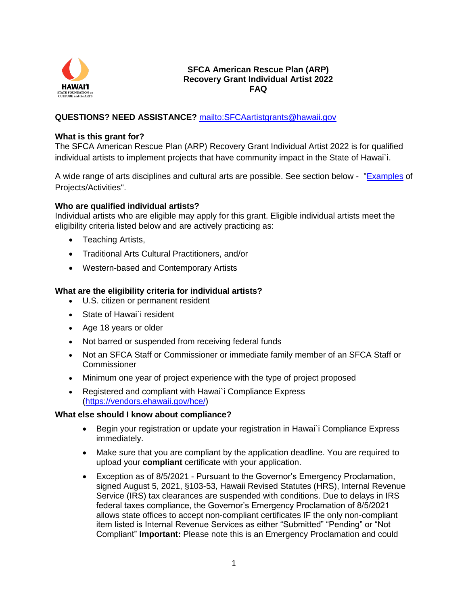

## **SFCA American Rescue Plan (ARP) Recovery Grant Individual Artist 2022 FAQ**

## **QUESTIONS? NEED ASSISTANCE?** <mailto:SFCAartistgrants@hawaii.gov>

#### **What is this grant for?**

The SFCA American Rescue Plan (ARP) Recovery Grant Individual Artist 2022 is for qualified individual artists to implement projects that have community impact in the State of Hawai`i.

A wide range of arts disciplines and cultural arts are possible. See section below - ["Examples](#page-3-0) of Projects/Activities".

## **Who are qualified individual artists?**

Individual artists who are eligible may apply for this grant. Eligible individual artists meet the eligibility criteria listed below and are actively practicing as:

- Teaching Artists,
- Traditional Arts Cultural Practitioners, and/or
- Western-based and Contemporary Artists

## **What are the eligibility criteria for individual artists?**

- U.S. citizen or permanent resident
- State of Hawai`i resident
- Age 18 years or older
- Not barred or suspended from receiving federal funds
- Not an SFCA Staff or Commissioner or immediate family member of an SFCA Staff or Commissioner
- Minimum one year of project experience with the type of project proposed
- Registered and compliant with Hawai`i Compliance Express [\(https://vendors.ehawaii.gov/hce/\)](https://vendors.ehawaii.gov/hce/)

## **What else should I know about compliance?**

- Begin your registration or update your registration in Hawai`i Compliance Express immediately.
- Make sure that you are compliant by the application deadline. You are required to upload your **compliant** certificate with your application.
- Exception as of 8/5/2021 Pursuant to the Governor's Emergency Proclamation, signed August 5, 2021, §103-53, Hawaii Revised Statutes (HRS), Internal Revenue Service (IRS) tax clearances are suspended with conditions. Due to delays in IRS federal taxes compliance, the Governor's Emergency Proclamation of 8/5/2021 allows state offices to accept non-compliant certificates IF the only non-compliant item listed is Internal Revenue Services as either "Submitted" "Pending" or "Not Compliant" **Important:** Please note this is an Emergency Proclamation and could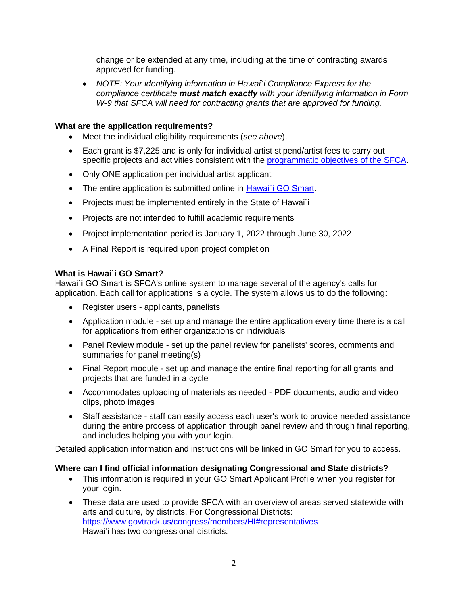change or be extended at any time, including at the time of contracting awards approved for funding.

 *NOTE: Your identifying information in Hawai`i Compliance Express for the compliance certificate must match exactly with your identifying information in Form W-9 that SFCA will need for contracting grants that are approved for funding.*

## **What are the application requirements?**

- Meet the individual eligibility requirements (*see above*).
- Each grant is \$7,225 and is only for individual artist stipend/artist fees to carry out specific projects and activities consistent with the [programmatic objectives of the SFCA.](https://sfca.hawaii.gov/wp-content/uploads/2021/01/Biennium-Grants-Categories-2022-2023-rev01-20-2021.pdf)
- Only ONE application per individual artist applicant
- The entire application is submitted online in Hawai'i GO Smart.
- Projects must be implemented entirely in the State of Hawai`i
- Projects are not intended to fulfill academic requirements
- Project implementation period is January 1, 2022 through June 30, 2022
- A Final Report is required upon project completion

## **What is Hawai`i GO Smart?**

Hawai`i GO Smart is SFCA's online system to manage several of the agency's calls for application. Each call for applications is a cycle. The system allows us to do the following:

- Register users applicants, panelists
- Application module set up and manage the entire application every time there is a call for applications from either organizations or individuals
- Panel Review module set up the panel review for panelists' scores, comments and summaries for panel meeting(s)
- Final Report module set up and manage the entire final reporting for all grants and projects that are funded in a cycle
- Accommodates uploading of materials as needed PDF documents, audio and video clips, photo images
- Staff assistance staff can easily access each user's work to provide needed assistance during the entire process of application through panel review and through final reporting, and includes helping you with your login.

Detailed application information and instructions will be linked in GO Smart for you to access.

## **Where can I find official information designating Congressional and State districts?**

- This information is required in your GO Smart Applicant Profile when you register for your login.
- These data are used to provide SFCA with an overview of areas served statewide with arts and culture, by districts. For Congressional Districts: <https://www.govtrack.us/congress/members/HI#representatives> Hawai'i has two congressional districts.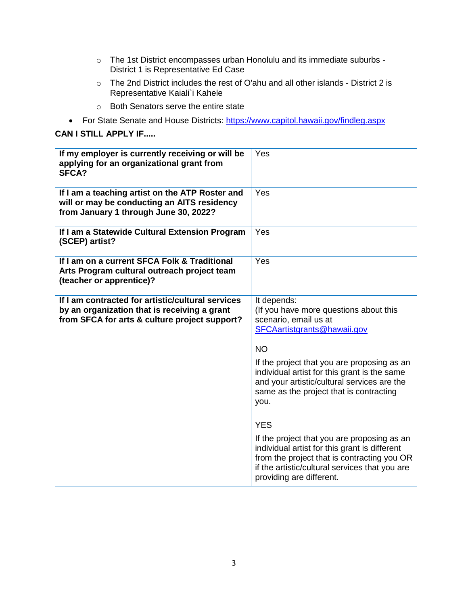- $\circ$  The 1st District encompasses urban Honolulu and its immediate suburbs -District 1 is Representative Ed Case
- o The 2nd District includes the rest of O'ahu and all other islands District 2 is Representative Kaiali`i Kahele
- o Both Senators serve the entire state
- For State Senate and House Districts:<https://www.capitol.hawaii.gov/findleg.aspx>

## **CAN I STILL APPLY IF.....**

| If my employer is currently receiving or will be<br>applying for an organizational grant from<br>SFCA?                                             | Yes                                                                                                                                                                                                                                     |
|----------------------------------------------------------------------------------------------------------------------------------------------------|-----------------------------------------------------------------------------------------------------------------------------------------------------------------------------------------------------------------------------------------|
| If I am a teaching artist on the ATP Roster and<br>will or may be conducting an AITS residency<br>from January 1 through June 30, 2022?            | Yes                                                                                                                                                                                                                                     |
| If I am a Statewide Cultural Extension Program<br>(SCEP) artist?                                                                                   | Yes                                                                                                                                                                                                                                     |
| If I am on a current SFCA Folk & Traditional<br>Arts Program cultural outreach project team<br>(teacher or apprentice)?                            | Yes                                                                                                                                                                                                                                     |
| If I am contracted for artistic/cultural services<br>by an organization that is receiving a grant<br>from SFCA for arts & culture project support? | It depends:<br>(If you have more questions about this<br>scenario, email us at<br>SFCAartistgrants@hawaii.gov                                                                                                                           |
|                                                                                                                                                    | <b>NO</b><br>If the project that you are proposing as an<br>individual artist for this grant is the same<br>and your artistic/cultural services are the<br>same as the project that is contracting<br>you.                              |
|                                                                                                                                                    | <b>YES</b><br>If the project that you are proposing as an<br>individual artist for this grant is different<br>from the project that is contracting you OR<br>if the artistic/cultural services that you are<br>providing are different. |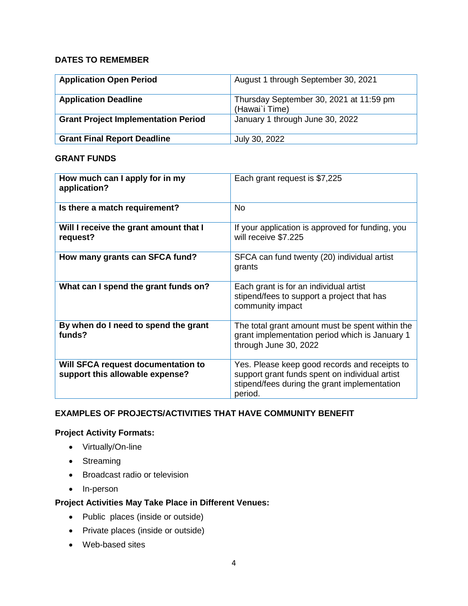## **DATES TO REMEMBER**

| <b>Application Open Period</b>             | August 1 through September 30, 2021                       |
|--------------------------------------------|-----------------------------------------------------------|
| <b>Application Deadline</b>                | Thursday September 30, 2021 at 11:59 pm<br>(Hawai'i Time) |
| <b>Grant Project Implementation Period</b> | January 1 through June 30, 2022                           |
| <b>Grant Final Report Deadline</b>         | July 30, 2022                                             |

## **GRANT FUNDS**

| How much can I apply for in my<br>application?                        | Each grant request is \$7,225                                                                                                                              |
|-----------------------------------------------------------------------|------------------------------------------------------------------------------------------------------------------------------------------------------------|
| Is there a match requirement?                                         | No.                                                                                                                                                        |
| Will I receive the grant amount that I<br>request?                    | If your application is approved for funding, you<br>will receive \$7.225                                                                                   |
| How many grants can SFCA fund?                                        | SFCA can fund twenty (20) individual artist<br>grants                                                                                                      |
| What can I spend the grant funds on?                                  | Each grant is for an individual artist<br>stipend/fees to support a project that has<br>community impact                                                   |
| By when do I need to spend the grant<br>funds?                        | The total grant amount must be spent within the<br>grant implementation period which is January 1<br>through June 30, 2022                                 |
| Will SFCA request documentation to<br>support this allowable expense? | Yes. Please keep good records and receipts to<br>support grant funds spent on individual artist<br>stipend/fees during the grant implementation<br>period. |

# <span id="page-3-0"></span>**EXAMPLES OF PROJECTS/ACTIVITIES THAT HAVE COMMUNITY BENEFIT**

# **Project Activity Formats:**

- Virtually/On-line
- Streaming
- Broadcast radio or television
- In-person

# **Project Activities May Take Place in Different Venues:**

- Public places (inside or outside)
- Private places (inside or outside)
- Web-based sites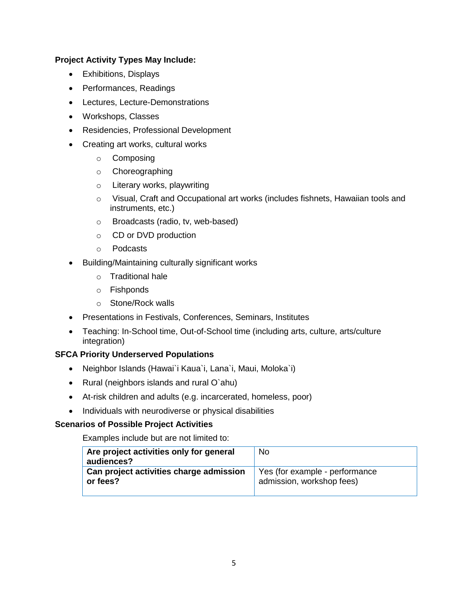## **Project Activity Types May Include:**

- Exhibitions, Displays
- Performances, Readings
- Lectures, Lecture-Demonstrations
- Workshops, Classes
- Residencies, Professional Development
- Creating art works, cultural works
	- o Composing
	- o Choreographing
	- o Literary works, playwriting
	- o Visual, Craft and Occupational art works (includes fishnets, Hawaiian tools and instruments, etc.)
	- o Broadcasts (radio, tv, web-based)
	- o CD or DVD production
	- o Podcasts
- Building/Maintaining culturally significant works
	- o Traditional hale
	- o Fishponds
	- o Stone/Rock walls
- Presentations in Festivals, Conferences, Seminars, Institutes
- Teaching: In-School time, Out-of-School time (including arts, culture, arts/culture integration)

## **SFCA Priority Underserved Populations**

- Neighbor Islands (Hawai`i Kaua`i, Lana`i, Maui, Moloka`i)
- Rural (neighbors islands and rural O`ahu)
- At-risk children and adults (e.g. incarcerated, homeless, poor)
- Individuals with neurodiverse or physical disabilities

## **Scenarios of Possible Project Activities**

Examples include but are not limited to:

| Are project activities only for general<br>audiences? | No                             |
|-------------------------------------------------------|--------------------------------|
| Can project activities charge admission               | Yes (for example - performance |
| or fees?                                              | admission, workshop fees)      |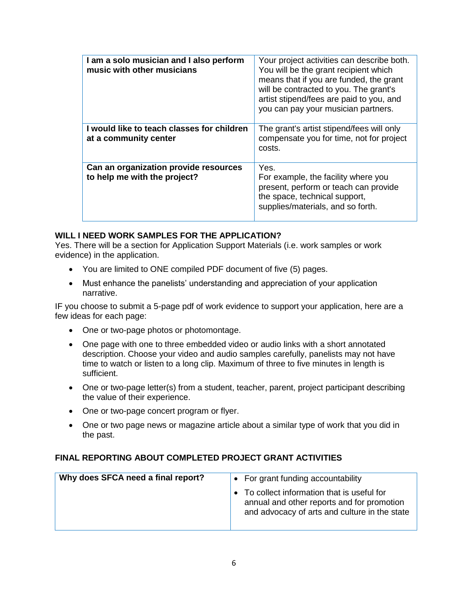| I am a solo musician and I also perform<br>music with other musicians | Your project activities can describe both.<br>You will be the grant recipient which<br>means that if you are funded, the grant<br>will be contracted to you. The grant's<br>artist stipend/fees are paid to you, and<br>you can pay your musician partners. |
|-----------------------------------------------------------------------|-------------------------------------------------------------------------------------------------------------------------------------------------------------------------------------------------------------------------------------------------------------|
| I would like to teach classes for children<br>at a community center   | The grant's artist stipend/fees will only<br>compensate you for time, not for project<br>costs.                                                                                                                                                             |
| Can an organization provide resources<br>to help me with the project? | Yes.<br>For example, the facility where you<br>present, perform or teach can provide<br>the space, technical support,<br>supplies/materials, and so forth.                                                                                                  |

## **WILL I NEED WORK SAMPLES FOR THE APPLICATION?**

Yes. There will be a section for Application Support Materials (i.e. work samples or work evidence) in the application.

- You are limited to ONE compiled PDF document of five (5) pages.
- Must enhance the panelists' understanding and appreciation of your application narrative.

IF you choose to submit a 5-page pdf of work evidence to support your application, here are a few ideas for each page:

- One or two-page photos or photomontage.
- One page with one to three embedded video or audio links with a short annotated description. Choose your video and audio samples carefully, panelists may not have time to watch or listen to a long clip. Maximum of three to five minutes in length is sufficient.
- One or two-page letter(s) from a student, teacher, parent, project participant describing the value of their experience.
- One or two-page concert program or flyer.
- One or two page news or magazine article about a similar type of work that you did in the past.

## **FINAL REPORTING ABOUT COMPLETED PROJECT GRANT ACTIVITIES**

| Why does SFCA need a final report? | • For grant funding accountability                                                                                                         |
|------------------------------------|--------------------------------------------------------------------------------------------------------------------------------------------|
|                                    | • To collect information that is useful for<br>annual and other reports and for promotion<br>and advocacy of arts and culture in the state |